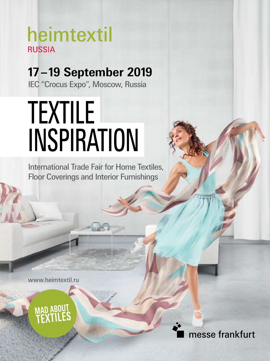## heimtextil **RUSSIA**

**17–19 September 2019** IEC "Crocus Expo", Moscow, Russia

# TEXTILE INSPIRATION

International Trade Fair for Home Textiles, Floor Coverings and Interior Furnishings

www.heimtextil.ru

MAD ABI

messe frankfurt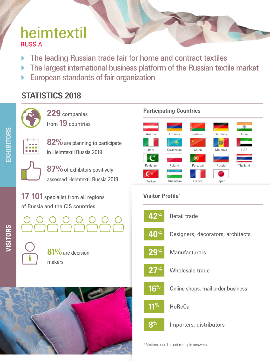## heimtextil **RUSSIA**

- The leading Russian trade fair for home and contract textiles
- ▶ The largest international business platform of the Russian textile market
- European standards of fair organization

## **STATISTICS 2018**



**229** companies from **19** countries



**EXHIBITORS**

EXHIBITORS

**82%** are planning to participate in Heimtextil Russia 2019



**87%**of exhibitors positively assessed Heimtextil Russia 2018

**17 101** specialist from all regions **17 101** Visitor Profile\* of Russia and the CIS countries



**81%**are decision makers



### **Participating Countries**





\* Visitors could select multiple answers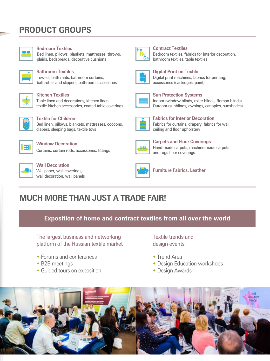## **PRODUCT GROUPS**



#### **Bedroom Textiles**

Bed linen, pillows, blankets, mattresses, throws, plaids, bedspreads, decorative cushions



#### **Bathroom Textiles**

Towels, bath mats, bathroom curtains, bathrobes and slippers, bathroom accessories



#### **Kitchen Textiles**

Table linen and decorations, kitchen linen, textile kitchen accessories, coated table coverings



**Textile for Children**

Bed linen, pillows, blankets, mattresses, cocoons, diapers, sleeping bags, textile toys



**Window Decoration** Curtains, curtain rods, accessories, fittings



**Wall Decoration** Wallpaper, wall coverings. wall decoration, wall panels



#### **Contract Textiles**

Bedroom textiles, fabrics for interior decoration, bathroom textiles, table textiles



#### **Digital Print on Textile** Digital print machines, fabrics for printing, accessories (cartridges, paint)



**Sun Protection Systems** Indoor (window blinds, roller blinds, Roman blinds) Outdoor (sunblinds, awnings, canopies, sunshades)



**Fabrics for Interior Decoration** Fabrics for curtains, drapery, fabrics for wall, ceiling and floor upholstery



**Carpets and Floor Coverings** Hand-made carpets, machine-made carpets and rugs floor coverings



**Furniture Fabrics, Leather**

## **MUCH MORE THAN JUST A TRADE FAIR!**

**Exposition of home and contract textiles from all over the world**

The largest business and networking platform of the Russian textile market

- Forums and conferences
- B2B meetings
- Guided tours on exposition

Textile trends and design events

- ◆ Trend Area
- Design Education workshops
- Design Awards

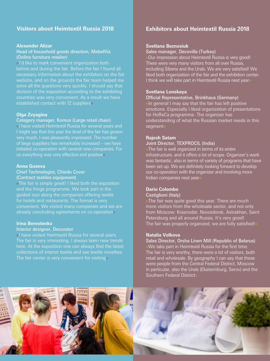#### **Visitors about Heimtextil Russia 2018**

#### **Alexander Alizar**

#### Head of household goods direction, MebelVia (Online furniture retailer)

**«**I'd like to mark convenient organization both before and during the fair. Before the fair I found all necessary information about the exhibitors on the fair website, and on the grounds the fair team helped me solve all the questions very quickly. I should say that division of the exposition according to the exhibiting countries was very convenient. As a result we have established contact with 12 suppliers**»**

#### **Olga Zvyagina**

#### Category manager, Komus (Large retail chain)

**«**I have visited Heimtextil Russia for several years and I might say that this year the level of the fair has grown very much, I was pleasantly impressed. The number of large suppliers has remarkably increased – we have initiated co-operation with several new companies. For us everything was very effective and positive**»**

#### **Anna Guseva**

#### Chief Technologist, Chiedo Cover (Contract textiles equipment)

**«**The fair is simply great! I liked both the exposition and the fringe programme. We took part in the guided tour along the companies offering textile for hotels and restaurants. The format is very convenient. We visited many companies and we are already concluding agreements on co-operation**»**

#### **Irina Berestenko**

#### Interior designer, Decorator

**«**I have visited Heimtextil Russia for several years. here. At the exposition one can always find the latest collections of interior textile and see textile novelties. The fair center is very convenient for visiting**»**

#### **Exhibitors about Heimtextil Russia 2018**

#### **Svetlana Beznosiuk**

Sales manager, Decovilla (Turkey)

**«**Our impression about Heimtextil Russia is very good! There were very many visitors from all over Russia, including Siberia and the Urals. We are very satisfied! We liked both organization of the fair and the exhibition center. I think we will take part in Heimtextil Russia next year**»**

#### **Svetlana Lonskaya**

#### Official Representative, Brinkhaus (Germany)

**«**In general I may say that the fair has left positive emotions. Especially I liked organization of presentations for HoReCa programme. The organizer has understanding of what the Russian market needs in this segment**»**

#### **Rajesh Satam**

#### Joint Director, TEXPROCIL (India)

**«**The fair is well organized in terms of its entire infrastructure, and it offers a lot of scope. Organizer's work was fantastic, also in terms of variety of programs that have been set up. We are definitely looking forward to develop our co-operation with the organizer and involving more Indian companies next year**»**

#### **Dario Colombo**

#### Castiglioni (Italy)

**«**The fair was quite good this year. There are much more visitors from the wholesale sector, and not only from Moscow: Krasnodar, Novosibirsk, Astrakhan, Saint Petersburg and all around Russia. It's very good! The fair was properly organized, we are fully satisfied!**»**

#### **Natalia Volkova**

Sales Director, Orsha Linen Mill (Republic of Belarus) **«**We take part in Heimtextil Russia for the first time. The fair is very worthy, there were a lot of visitors, both retail and wholesale. By geography I can say that these were people from the Central Federal District, Moscow in particular, also the Urals (Ekaterinburg, Serov) and the Southern Federal District**»**